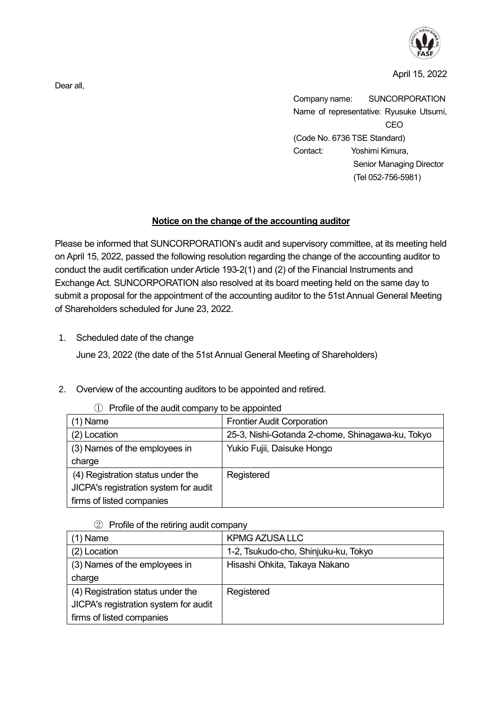

April 15, 2022

Company name: SUNCORPORATION Name of representative: Ryusuke Utsumi, CEO (Code No. 6736 TSE Standard) Contact: Yoshimi Kimura, Senior Managing Director (Tel 052-756-5981)

## **Notice on the change of the accounting auditor**

Please be informed that SUNCORPORATION's audit and supervisory committee, at its meeting held on April 15, 2022, passed the following resolution regarding the change of the accounting auditor to conduct the audit certification under Article 193-2(1) and (2) of the Financial Instruments and Exchange Act. SUNCORPORATION also resolved at its board meeting held on the same day to submit a proposal for the appointment of the accounting auditor to the 51st Annual General Meeting of Shareholders scheduled for June 23, 2022.

1. Scheduled date of the change

June 23, 2022 (the date of the 51st Annual General Meeting of Shareholders)

2. Overview of the accounting auditors to be appointed and retired.

| $(1)$ Name                            | <b>Frontier Audit Corporation</b>                |
|---------------------------------------|--------------------------------------------------|
| (2) Location                          | 25-3, Nishi-Gotanda 2-chome, Shinagawa-ku, Tokyo |
| (3) Names of the employees in         | Yukio Fujii, Daisuke Hongo                       |
| charge                                |                                                  |
| (4) Registration status under the     | Registered                                       |
| JICPA's registration system for audit |                                                  |
| firms of listed companies             |                                                  |

① Profile of the audit company to be appointed

② Profile of the retiring audit company

| $(1)$ Name                            | <b>KPMG AZUSA LLC</b>                |
|---------------------------------------|--------------------------------------|
| (2) Location                          | 1-2, Tsukudo-cho, Shinjuku-ku, Tokyo |
| (3) Names of the employees in         | Hisashi Ohkita, Takaya Nakano        |
| charge                                |                                      |
| (4) Registration status under the     | Registered                           |
| JICPA's registration system for audit |                                      |
| firms of listed companies             |                                      |

Dear all,